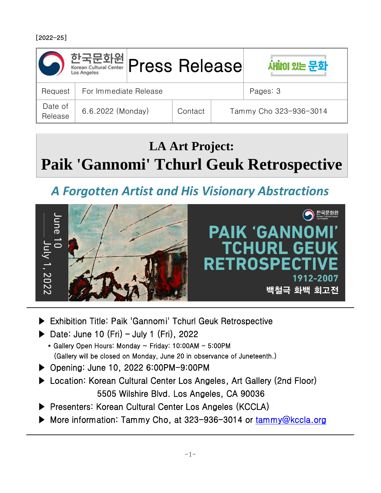

## **LA Art Project: Paik 'Gannomi' Tchurl Geuk Retrospective**

## *A Forgotten Artist and His Visionary Abstractions*



- ▶ Exhibition Title: Paik 'Gannomi' Tchurl Geuk Retrospective
- ▶ Date: June 10 (Fri) July 1 (Fri), 2022
	- $*$  Gallery Open Hours: Monday  $\sim$  Friday: 10:00AM 5:00PM (Gallery will be closed on Monday, June 20 in observance of Juneteenth.)
- ▶ Opening: June 10, 2022 6:00PM-9:00PM
- ▶ Location: Korean Cultural Center Los Angeles, Art Gallery (2nd Floor) 5505 Wilshire Blvd. Los Angeles, CA 90036
- ▶ Presenters: Korean Cultural Center Los Angeles (KCCLA)
- ▶ More information: Tammy Cho, at 323-936-3014 or tammy@kccla.org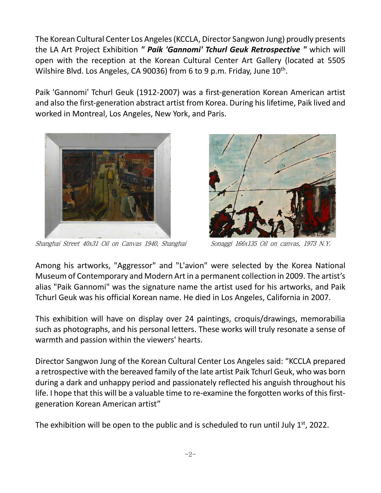The Korean Cultural Center Los Angeles (KCCLA, Director Sangwon Jung) proudly presents the LA Art Project Exhibition *" Paik 'Gannomi' Tchurl Geuk Retrospective "* which will open with the reception at the Korean Cultural Center Art Gallery (located at 5505 Wilshire Blvd. Los Angeles, CA 90036) from 6 to 9 p.m. Friday, June 10<sup>th</sup>.

Paik 'Gannomi' Tchurl Geuk (1912-2007) was a first-generation Korean American artist and also the first-generation abstract artist from Korea. During his lifetime, Paik lived and worked in Montreal, Los Angeles, New York, and Paris.



Shanghai Street 40x31 Oil on Canvas 1940, Shanghai Sonaggi 166x135 Oil on canvas, 1973 N.Y.



Among his artworks, "Aggressor" and "L'avion" were selected by the Korea National Museum of Contemporary and Modern Art in a permanent collection in 2009. The artist's alias "Paik Gannomi" was the signature name the artist used for his artworks, and Paik Tchurl Geuk was his official Korean name. He died in Los Angeles, California in 2007.

This exhibition will have on display over 24 paintings, croquis/drawings, memorabilia such as photographs, and his personal letters. These works will truly resonate a sense of warmth and passion within the viewers' hearts.

Director Sangwon Jung of the Korean Cultural Center Los Angeles said: "KCCLA prepared a retrospective with the bereaved family of the late artist Paik Tchurl Geuk, who was born during a dark and unhappy period and passionately reflected his anguish throughout his life. I hope that this will be a valuable time to re-examine the forgotten works of this firstgeneration Korean American artist"

The exhibition will be open to the public and is scheduled to run until July  $1<sup>st</sup>$ , 2022.